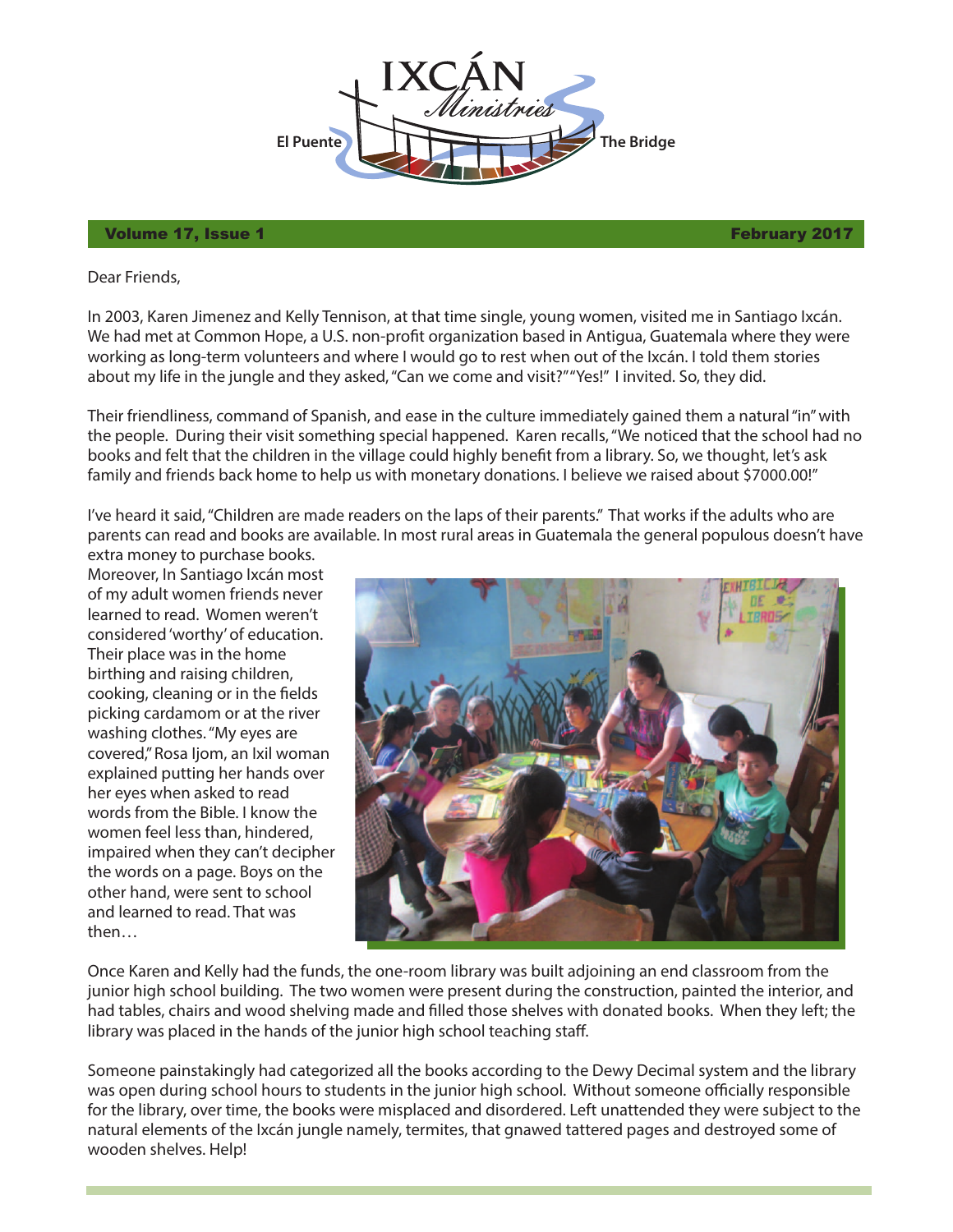

## Volume 17, Issue 1 February 2017

Dear Friends,

In 2003, Karen Jimenez and Kelly Tennison, at that time single, young women, visited me in Santiago Ixcán. We had met at Common Hope, a U.S. non-profit organization based in Antigua, Guatemala where they were working as long-term volunteers and where I would go to rest when out of the Ixcán. I told them stories about my life in the jungle and they asked, "Can we come and visit?" "Yes!" I invited. So, they did.

Their friendliness, command of Spanish, and ease in the culture immediately gained them a natural "in" with the people. During their visit something special happened. Karen recalls, "We noticed that the school had no books and felt that the children in the village could highly benefit from a library. So, we thought, let's ask family and friends back home to help us with monetary donations. I believe we raised about \$7000.00!"

I've heard it said, "Children are made readers on the laps of their parents." That works if the adults who are parents can read and books are available. In most rural areas in Guatemala the general populous doesn't have

extra money to purchase books. Moreover, In Santiago Ixcán most of my adult women friends never learned to read. Women weren't considered 'worthy' of education. Their place was in the home birthing and raising children, cooking, cleaning or in the fields picking cardamom or at the river washing clothes. "My eyes are covered," Rosa Ijom, an Ixil woman explained putting her hands over her eyes when asked to read words from the Bible. I know the women feel less than, hindered, impaired when they can't decipher the words on a page. Boys on the other hand, were sent to school and learned to read. That was then…



Once Karen and Kelly had the funds, the one-room library was built adjoining an end classroom from the junior high school building. The two women were present during the construction, painted the interior, and had tables, chairs and wood shelving made and filled those shelves with donated books. When they left; the library was placed in the hands of the junior high school teaching staff.

Someone painstakingly had categorized all the books according to the Dewy Decimal system and the library was open during school hours to students in the junior high school. Without someone officially responsible for the library, over time, the books were misplaced and disordered. Left unattended they were subject to the natural elements of the Ixcán jungle namely, termites, that gnawed tattered pages and destroyed some of wooden shelves. Help!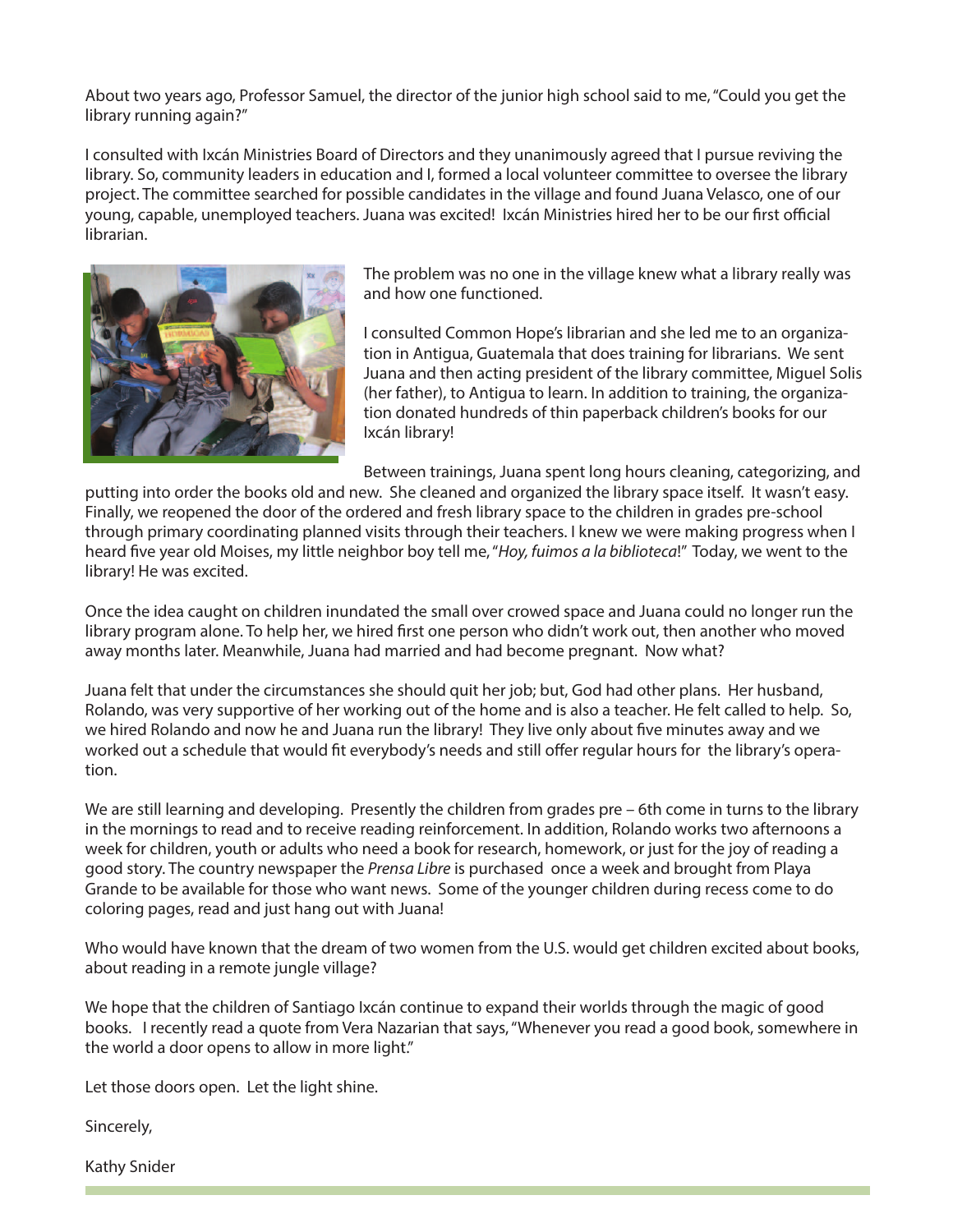About two years ago, Professor Samuel, the director of the junior high school said to me, "Could you get the library running again?"

I consulted with Ixcán Ministries Board of Directors and they unanimously agreed that I pursue reviving the library. So, community leaders in education and I, formed a local volunteer committee to oversee the library project. The committee searched for possible candidates in the village and found Juana Velasco, one of our young, capable, unemployed teachers. Juana was excited! Ixcán Ministries hired her to be our first official librarian.



The problem was no one in the village knew what a library really was and how one functioned.

I consulted Common Hope's librarian and she led me to an organization in Antigua, Guatemala that does training for librarians. We sent Juana and then acting president of the library committee, Miguel Solis (her father), to Antigua to learn. In addition to training, the organization donated hundreds of thin paperback children's books for our Ixcán library!

Between trainings, Juana spent long hours cleaning, categorizing, and

putting into order the books old and new. She cleaned and organized the library space itself. It wasn't easy. Finally, we reopened the door of the ordered and fresh library space to the children in grades pre-school through primary coordinating planned visits through their teachers. I knew we were making progress when I heard five year old Moises, my little neighbor boy tell me, "Hoy, fuimos a la biblioteca!" Today, we went to the library! He was excited.

Once the idea caught on children inundated the small over crowed space and Juana could no longer run the library program alone. To help her, we hired first one person who didn't work out, then another who moved away months later. Meanwhile, Juana had married and had become pregnant. Now what?

Juana felt that under the circumstances she should quit her job; but, God had other plans. Her husband, Rolando, was very supportive of her working out of the home and is also a teacher. He felt called to help. So, we hired Rolando and now he and Juana run the library! They live only about five minutes away and we worked out a schedule that would fit everybody's needs and still offer regular hours for the library's operation.

We are still learning and developing. Presently the children from grades pre – 6th come in turns to the library in the mornings to read and to receive reading reinforcement. In addition, Rolando works two afternoons a week for children, youth or adults who need a book for research, homework, or just for the joy of reading a good story. The country newspaper the Prensa Libre is purchased once a week and brought from Playa Grande to be available for those who want news. Some of the younger children during recess come to do coloring pages, read and just hang out with Juana!

Who would have known that the dream of two women from the U.S. would get children excited about books, about reading in a remote jungle village?

We hope that the children of Santiago Ixcán continue to expand their worlds through the magic of good books. I recently read a quote from Vera Nazarian that says, "Whenever you read a good book, somewhere in the world a door opens to allow in more light."

Let those doors open. Let the light shine.

Sincerely,

Kathy Snider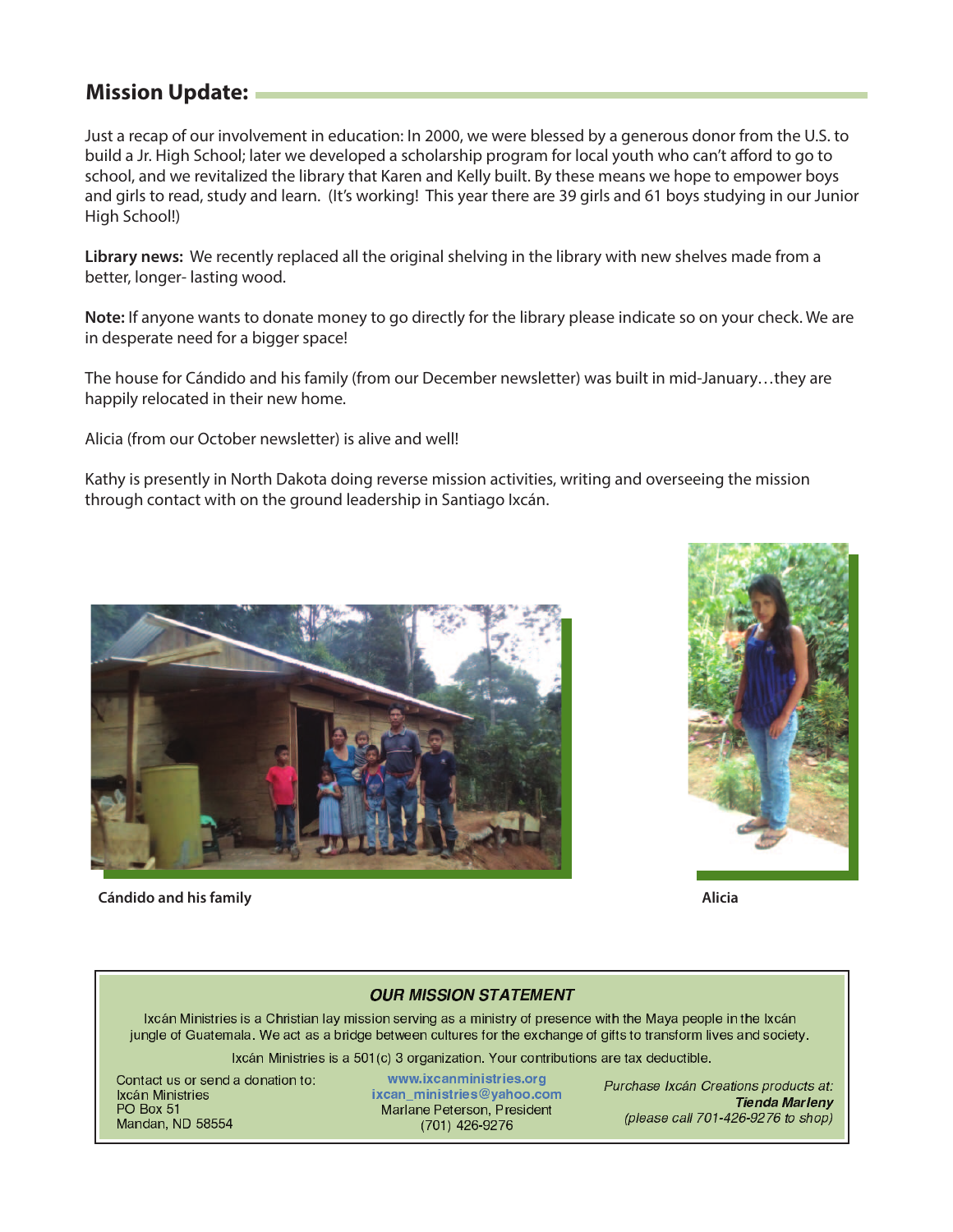## **Mission Update:**

Just a recap of our involvement in education: In 2000, we were blessed by a generous donor from the U.S. to build a Jr. High School; later we developed a scholarship program for local youth who can't afford to go to school, and we revitalized the library that Karen and Kelly built. By these means we hope to empower boys and girls to read, study and learn. (It's working! This year there are 39 girls and 61 boys studying in our Junior High School!)

**Library news:** We recently replaced all the original shelving in the library with new shelves made from a better, longer- lasting wood.

**Note:** If anyone wants to donate money to go directly for the library please indicate so on your check. We are in desperate need for a bigger space!

The house for Cándido and his family (from our December newsletter) was built in mid-January…they are happily relocated in their new home.

Alicia (from our October newsletter) is alive and well!

Kathy is presently in North Dakota doing reverse mission activities, writing and overseeing the mission through contact with on the ground leadership in Santiago Ixcán.



**Cándido and his family Alicia**



## **OUR MISSION STATEMENT**

Ixcán Ministries is a Christian lay mission serving as a ministry of presence with the Maya people in the Ixcán jungle of Guatemala. We act as a bridge between cultures for the exchange of gifts to transform lives and society.

Ixcán Ministries is a 501(c) 3 organization. Your contributions are tax deductible.

Contact us or send a donation to: Ixcán Ministries **PO Box 51** Mandan, ND 58554

www.ixcanministries.org ixcan\_ministries@yahoo.com Marlane Peterson, President (701) 426-9276

Purchase Ixcán Creations products at: Tienda Marleny (please call 701-426-9276 to shop)